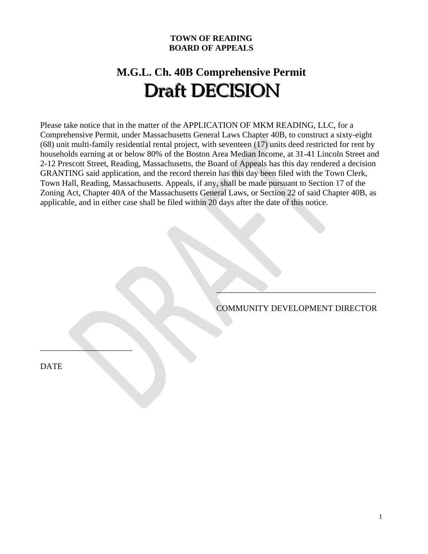# **TOWN OF READING BOARD OF APPEALS**

# **M.G.L. Ch. 40B Comprehensive Permit**  Draft DECISION

Please take notice that in the matter of the APPLICATION OF MKM READING, LLC, for a Comprehensive Permit, under Massachusetts General Laws Chapter 40B, to construct a sixty-eight (68) unit multi-family residential rental project, with seventeen (17) units deed restricted for rent by households earning at or below 80% of the Boston Area Median Income, at 31-41 Lincoln Street and 2-12 Prescott Street, Reading, Massachusetts, the Board of Appeals has this day rendered a decision GRANTING said application, and the record therein has this day been filed with the Town Clerk, Town Hall, Reading, Massachusetts. Appeals, if any, shall be made pursuant to Section 17 of the Zoning Act, Chapter 40A of the Massachusetts General Laws, or Section 22 of said Chapter 40B, as applicable, and in either case shall be filed within 20 days after the date of this notice.

 $\mathcal{L}=\mathcal{L}=\mathcal{L}=\mathcal{L}=\mathcal{L}=\mathcal{L}=\mathcal{L}=\mathcal{L}=\mathcal{L}=\mathcal{L}=\mathcal{L}=\mathcal{L}=\mathcal{L}=\mathcal{L}=\mathcal{L}=\mathcal{L}=\mathcal{L}=\mathcal{L}=\mathcal{L}=\mathcal{L}=\mathcal{L}=\mathcal{L}=\mathcal{L}=\mathcal{L}=\mathcal{L}=\mathcal{L}=\mathcal{L}=\mathcal{L}=\mathcal{L}=\mathcal{L}=\mathcal{L}=\mathcal{L}=\mathcal{L}=\mathcal{L}=\mathcal{L}=\mathcal{L}=\mathcal{$ 

COMMUNITY DEVELOPMENT DIRECTOR

DATE

\_\_\_\_\_\_\_\_\_\_\_\_\_\_\_\_\_\_\_\_\_\_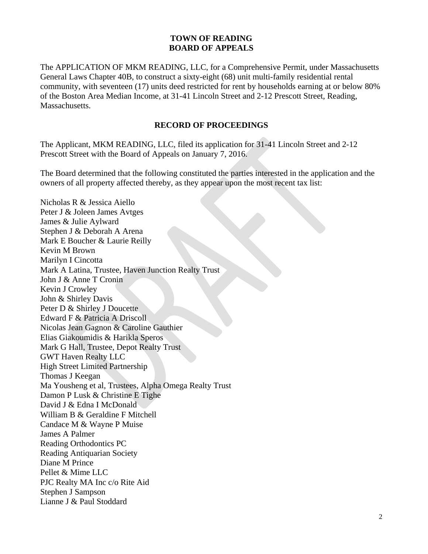# **TOWN OF READING BOARD OF APPEALS**

The APPLICATION OF MKM READING, LLC, for a Comprehensive Permit, under Massachusetts General Laws Chapter 40B, to construct a sixty-eight (68) unit multi-family residential rental community, with seventeen (17) units deed restricted for rent by households earning at or below 80% of the Boston Area Median Income, at 31-41 Lincoln Street and 2-12 Prescott Street, Reading, **Massachusetts** 

#### **RECORD OF PROCEEDINGS**

The Applicant, MKM READING, LLC, filed its application for 31-41 Lincoln Street and 2-12 Prescott Street with the Board of Appeals on January 7, 2016.

The Board determined that the following constituted the parties interested in the application and the owners of all property affected thereby, as they appear upon the most recent tax list:

Nicholas R & Jessica Aiello Peter J & Joleen James Avtges James & Julie Aylward Stephen J & Deborah A Arena Mark E Boucher & Laurie Reilly Kevin M Brown Marilyn I Cincotta Mark A Latina, Trustee, Haven Junction Realty Trust John J & Anne T Cronin Kevin J Crowley John & Shirley Davis Peter D & Shirley J Doucette Edward F & Patricia A Driscoll Nicolas Jean Gagnon & Caroline Gauthier Elias Giakoumidis & Harikla Speros Mark G Hall, Trustee, Depot Realty Trust GWT Haven Realty LLC High Street Limited Partnership Thomas J Keegan Ma Yousheng et al, Trustees, Alpha Omega Realty Trust Damon P Lusk & Christine E Tighe David J & Edna I McDonald William B & Geraldine F Mitchell Candace M & Wayne P Muise James A Palmer Reading Orthodontics PC Reading Antiquarian Society Diane M Prince Pellet & Mime LLC PJC Realty MA Inc c/o Rite Aid Stephen J Sampson Lianne J & Paul Stoddard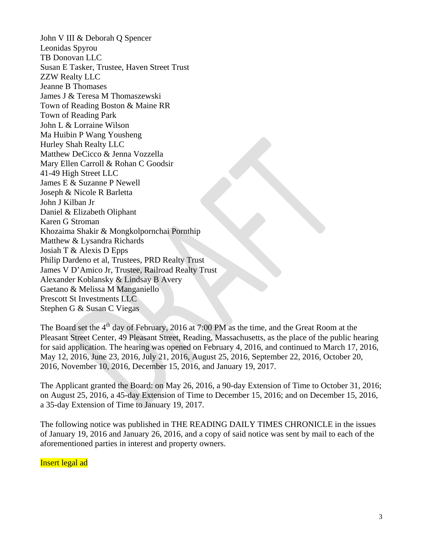John V III & Deborah Q Spencer Leonidas Spyrou TB Donovan LLC Susan E Tasker, Trustee, Haven Street Trust ZZW Realty LLC Jeanne B Thomases James J & Teresa M Thomaszewski Town of Reading Boston & Maine RR Town of Reading Park John L & Lorraine Wilson Ma Huibin P Wang Yousheng Hurley Shah Realty LLC Matthew DeCicco & Jenna Vozzella Mary Ellen Carroll & Rohan C Goodsir 41-49 High Street LLC James E & Suzanne P Newell Joseph & Nicole R Barletta John J Kilban Jr Daniel & Elizabeth Oliphant Karen G Stroman Khozaima Shakir & Mongkolpornchai Pornthip Matthew & Lysandra Richards Josiah T & Alexis D Epps Philip Dardeno et al, Trustees, PRD Realty Trust James V D'Amico Jr, Trustee, Railroad Realty Trust Alexander Koblansky & Lindsay B Avery Gaetano & Melissa M Manganiello Prescott St Investments LLC Stephen G & Susan C Viegas

The Board set the  $4<sup>th</sup>$  day of February, 2016 at 7:00 PM as the time, and the Great Room at the Pleasant Street Center, 49 Pleasant Street, Reading, Massachusetts, as the place of the public hearing for said application. The hearing was opened on February 4, 2016, and continued to March 17, 2016, May 12, 2016, June 23, 2016, July 21, 2016, August 25, 2016, September 22, 2016, October 20, 2016, November 10, 2016, December 15, 2016, and January 19, 2017.

The Applicant granted the Board: on May 26, 2016, a 90-day Extension of Time to October 31, 2016; on August 25, 2016, a 45-day Extension of Time to December 15, 2016; and on December 15, 2016, a 35-day Extension of Time to January 19, 2017.

The following notice was published in THE READING DAILY TIMES CHRONICLE in the issues of January 19, 2016 and January 26, 2016, and a copy of said notice was sent by mail to each of the aforementioned parties in interest and property owners.

Insert legal ad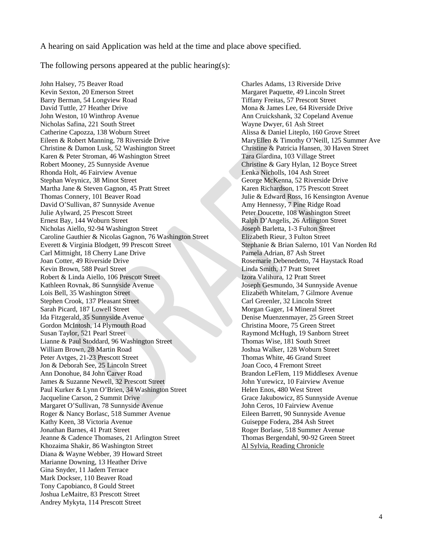A hearing on said Application was held at the time and place above specified.

The following persons appeared at the public hearing(s):

John Halsey, 75 Beaver Road Charles Adams, 13 Riverside Drive Barry Berman, 54 Longview Road Tiffany Freitas, 57 Prescott Street David Tuttle, 27 Heather Drive Mona & James Lee, 64 Riverside Drive John Weston, 10 Winthrop Avenue Ann Cruickshank, 32 Copeland Avenue Nicholas Safina, 221 South Street Wayne Dwyer, 61 Ash Street Catherine Capozza, 138 Woburn Street Alissa & Daniel Liteplo, 160 Grove Street Eileen & Robert Manning, 78 Riverside Drive MaryEllen & Timothy O'Neill, 125 Summer Ave Christine & Damon Lusk, 52 Washington Street Christine & Patricia Hansen, 30 Haven Street Karen & Peter Stroman, 46 Washington Street Tara Giardina, 103 Village Street Robert Mooney, 25 Sunnyside Avenue Christine & Gary Hylan, 12 Boyce Street Rhonda Holt, 46 Fairview Avenue Lenka Nicholls, 104 Ash Street Stephan Weynicz, 38 Minot Street George McKenna, 52 Riverside Drive Martha Jane & Steven Gagnon, 45 Pratt Street Karen Richardson, 175 Prescott Street Thomas Connery, 101 Beaver Road Julie & Edward Ross, 16 Kensington Avenue David O'Sullivan, 87 Sunnyside Avenue Amy Hennessy, 7 Pine Ridge Road Julie Aylward, 25 Prescott Street Peter Doucette, 108 Washington Street Ernest Bay, 144 Woburn Street Ralph D'Angelis, 26 Arlington Street<br>Nicholas Aiello, 92-94 Washington Street<br>Joseph Barletta, 1-3 Fulton Street Nicholas Aiello, 92-94 Washington Street Caroline Gauthier & Nicolas Gagnon, 76 Washington Street Elizabeth Rieur, 3 Fulton Street Everett & Virginia Blodgett, 99 Prescott Street Stephanie & Brian Salerno, 101 Van Norden Rd Carl Mittnight, 18 Cherry Lane Drive Pamela Adrian, 87 Ash Street Joan Cotter, 49 Riverside Drive Rosemarie Debenedetto, 74 Haystack Road Kevin Brown, 588 Pearl Street Linda Smith, 17 Pratt Street Robert & Linda Aiello, 106 Prescott Street Izora Valihura, 12 Pratt Street Kathleen Rovnak, 86 Sunnyside Avenue Joseph Gesmundo, 34 Sunnyside Avenue Lois Bell, 35 Washington Street Elizabeth Whitelam, 7 Gilmore Avenue Stephen Crook, 137 Pleasant Street Carl Greenler, 32 Lincoln Street Sarah Picard, 187 Lowell Street Morgan Gager, 14 Mineral Street Ida Fitzgerald, 35 Sunnyside Avenue Denise Muenzenmayer, 25 Green Street Gordon McIntosh, 14 Plymouth Road Christina Moore, 75 Green Street Susan Taylor, 521 Pearl Street Raymond McHugh, 19 Sanborn Street Lianne & Paul Stoddard, 96 Washington Street Thomas Wise, 181 South Street William Brown, 28 Martin Road Joshua Walker, 128 Woburn Street<br>
Peter Avtges, 21-23 Prescott Street<br>
Thomas White, 46 Grand Street Peter Avtges, 21-23 Prescott Street Jon & Deborah See, 25 Lincoln Street Joan Coco, 4 Fremont Street Ann Donohue, 84 John Carver Road Brandon LeFlem, 119 Middlesex Avenue James & Suzanne Newell, 32 Prescott Street John Yurewicz, 10 Fairview Avenue Paul Kurker & Lynn O'Brien, 34 Washington Street Helen Enos, 480 West Street Jacqueline Carson, 2 Summit Drive Grace Jakubowicz, 85 Sunnyside Avenue Margaret O'Sullivan, 78 Sunnyside Avenue<br>
Roger & Nancy Borlasc, 518 Summer Avenue Fileen Barrett, 90 Sunnyside Avenue Roger & Nancy Borlasc, 518 Summer Avenue Kathy Keen, 38 Victoria Avenue Guiseppe Fodera, 284 Ash Street Jonathan Barnes, 41 Pratt Street Roger Borlase, 518 Summer Avenue Jeanne & Cadence Thomases, 21 Arlington Street Thomas Bergendahl, 90-92 Green Street Khozaima Shakir, 86 Washington Street Al Sylvia, Reading Chronicle Diana & Wayne Webber, 39 Howard Street Marianne Downing, 13 Heather Drive Gina Snyder, 11 Jadem Terrace Mark Dockser, 110 Beaver Road Tony Capobianco, 8 Gould Street Joshua LeMaitre, 83 Prescott Street Andrey Mykyta, 114 Prescott Street

Margaret Paquette, 49 Lincoln Street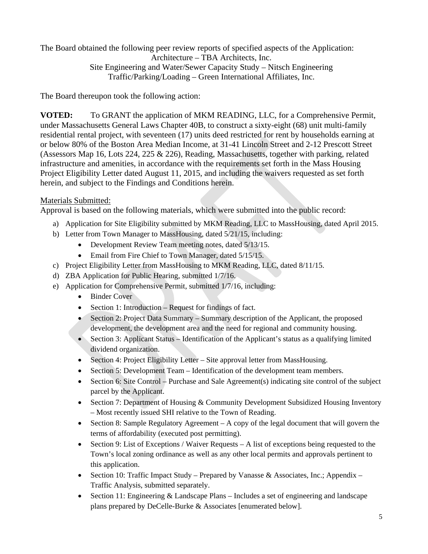The Board obtained the following peer review reports of specified aspects of the Application: Architecture – TBA Architects, Inc.

Site Engineering and Water/Sewer Capacity Study – Nitsch Engineering Traffic/Parking/Loading – Green International Affiliates, Inc.

The Board thereupon took the following action:

**VOTED:** To GRANT the application of MKM READING, LLC, for a Comprehensive Permit, under Massachusetts General Laws Chapter 40B, to construct a sixty-eight (68) unit multi-family residential rental project, with seventeen (17) units deed restricted for rent by households earning at or below 80% of the Boston Area Median Income, at 31-41 Lincoln Street and 2-12 Prescott Street (Assessors Map 16, Lots 224, 225 & 226), Reading, Massachusetts, together with parking, related infrastructure and amenities, in accordance with the requirements set forth in the Mass Housing Project Eligibility Letter dated August 11, 2015, and including the waivers requested as set forth herein, and subject to the Findings and Conditions herein.

# Materials Submitted:

Approval is based on the following materials, which were submitted into the public record:

- a) Application for Site Eligibility submitted by MKM Reading, LLC to MassHousing, dated April 2015.
- b) Letter from Town Manager to MassHousing, dated 5/21/15, including:
	- Development Review Team meeting notes, dated 5/13/15.
	- Email from Fire Chief to Town Manager, dated 5/15/15.
- c) Project Eligibility Letter from MassHousing to MKM Reading, LLC, dated 8/11/15.
- d) ZBA Application for Public Hearing, submitted 1/7/16.
- e) Application for Comprehensive Permit, submitted 1/7/16, including:
	- Binder Cover
	- Section 1: Introduction Request for findings of fact.
	- Section 2: Project Data Summary Summary description of the Applicant, the proposed development, the development area and the need for regional and community housing.
	- $\bullet$  Section 3: Applicant Status Identification of the Applicant's status as a qualifying limited dividend organization.
	- Section 4: Project Eligibility Letter Site approval letter from MassHousing.
	- Section 5: Development Team Identification of the development team members.
	- Section 6: Site Control Purchase and Sale Agreement(s) indicating site control of the subject parcel by the Applicant.
	- Section 7: Department of Housing & Community Development Subsidized Housing Inventory – Most recently issued SHI relative to the Town of Reading.
	- Section 8: Sample Regulatory Agreement A copy of the legal document that will govern the terms of affordability (executed post permitting).
	- Section 9: List of Exceptions / Waiver Requests  $-A$  list of exceptions being requested to the Town's local zoning ordinance as well as any other local permits and approvals pertinent to this application.
	- Section 10: Traffic Impact Study Prepared by Vanasse & Associates, Inc.; Appendix Traffic Analysis, submitted separately.
	- Section 11: Engineering & Landscape Plans Includes a set of engineering and landscape plans prepared by DeCelle-Burke & Associates [enumerated below].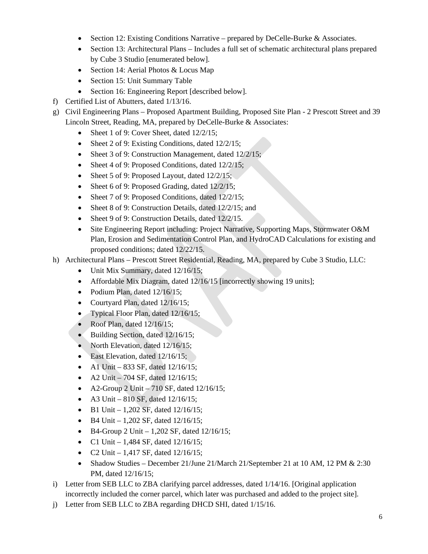- Section 12: Existing Conditions Narrative prepared by DeCelle-Burke & Associates.
- Section 13: Architectural Plans Includes a full set of schematic architectural plans prepared by Cube 3 Studio [enumerated below].
- Section 14: Aerial Photos & Locus Map
- Section 15: Unit Summary Table
- Section 16: Engineering Report [described below].
- f) Certified List of Abutters, dated 1/13/16.
- g) Civil Engineering Plans Proposed Apartment Building, Proposed Site Plan 2 Prescott Street and 39 Lincoln Street, Reading, MA, prepared by DeCelle-Burke & Associates:
	- Sheet 1 of 9: Cover Sheet, dated 12/2/15;
	- Sheet 2 of 9: Existing Conditions, dated 12/2/15;
	- Sheet 3 of 9: Construction Management, dated 12/2/15;
	- Sheet 4 of 9: Proposed Conditions, dated 12/2/15;
	- Sheet 5 of 9: Proposed Layout, dated  $12/2/15$ ;
	- Sheet 6 of 9: Proposed Grading, dated  $12/2/15$ ;
	- Sheet 7 of 9: Proposed Conditions, dated 12/2/15;
	- Sheet 8 of 9: Construction Details, dated 12/2/15; and
	- Sheet 9 of 9: Construction Details, dated 12/2/15.
	- Site Engineering Report including: Project Narrative, Supporting Maps, Stormwater O&M Plan, Erosion and Sedimentation Control Plan, and HydroCAD Calculations for existing and proposed conditions; dated 12/22/15.
- h) Architectural Plans Prescott Street Residential, Reading, MA, prepared by Cube 3 Studio, LLC:
	- Unit Mix Summary, dated  $12/16/15$ ;
	- Affordable Mix Diagram, dated 12/16/15 [incorrectly showing 19 units];
	- Podium Plan, dated  $12/16/15$ ;
	- Courtyard Plan, dated  $12/16/15$ ;
	- Typical Floor Plan, dated 12/16/15;
	- Roof Plan, dated  $12/16/15$ ;
	- Building Section, dated 12/16/15;
	- North Elevation, dated 12/16/15;
	- East Elevation, dated 12/16/15;
	- A1 Unit 833 SF, dated  $12/16/15$ ;
	- A2 Unit 704 SF, dated  $12/16/15$ ;
	- A2-Group 2 Unit  $-710$  SF, dated  $12/16/15$ ;
	- A3 Unit  $810$  SF, dated  $12/16/15$ ;
	- $\bullet$  B1 Unit 1,202 SF, dated 12/16/15;
	- B4 Unit 1,202 SF, dated 12/16/15;
	- $\bullet$  B4-Group 2 Unit 1,202 SF, dated 12/16/15;
	- C1 Unit 1,484 SF, dated  $12/16/15$ ;
	- C2 Unit 1,417 SF, dated  $12/16/15$ ;
	- Shadow Studies December 21/June 21/March 21/September 21 at 10 AM, 12 PM  $& 2:30$ PM, dated 12/16/15;
- i) Letter from SEB LLC to ZBA clarifying parcel addresses, dated 1/14/16. [Original application incorrectly included the corner parcel, which later was purchased and added to the project site].
- j) Letter from SEB LLC to ZBA regarding DHCD SHI, dated 1/15/16.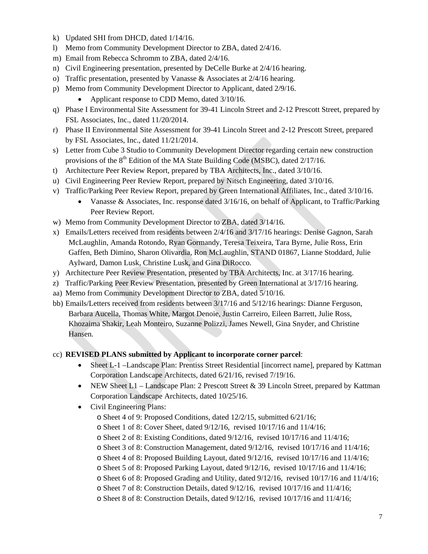- k) Updated SHI from DHCD, dated 1/14/16.
- l) Memo from Community Development Director to ZBA, dated 2/4/16.
- m) Email from Rebecca Schromm to ZBA, dated 2/4/16.
- n) Civil Engineering presentation, presented by DeCelle Burke at 2/4/16 hearing.
- o) Traffic presentation, presented by Vanasse & Associates at 2/4/16 hearing.
- p) Memo from Community Development Director to Applicant, dated 2/9/16.
	- Applicant response to CDD Memo, dated 3/10/16.
- q) Phase I Environmental Site Assessment for 39-41 Lincoln Street and 2-12 Prescott Street, prepared by FSL Associates, Inc., dated 11/20/2014.
- r) Phase II Environmental Site Assessment for 39-41 Lincoln Street and 2-12 Prescott Street, prepared by FSL Associates, Inc., dated 11/21/2014.
- s) Letter from Cube 3 Studio to Community Development Director regarding certain new construction provisions of the  $8<sup>th</sup>$  Edition of the MA State Building Code (MSBC), dated  $2/17/16$ .
- t) Architecture Peer Review Report, prepared by TBA Architects, Inc., dated 3/10/16.
- u) Civil Engineering Peer Review Report, prepared by Nitsch Engineering, dated 3/10/16.
- v) Traffic/Parking Peer Review Report, prepared by Green International Affiliates, Inc., dated 3/10/16.
	- Vanasse & Associates, Inc. response dated 3/16/16, on behalf of Applicant, to Traffic/Parking Peer Review Report.
- w) Memo from Community Development Director to ZBA, dated 3/14/16.
- x) Emails/Letters received from residents between 2/4/16 and 3/17/16 hearings: Denise Gagnon, Sarah McLaughlin, Amanda Rotondo, Ryan Gormandy, Teresa Teixeira, Tara Byrne, Julie Ross, Erin Gaffen, Beth Dimino, Sharon Olivardia, Ron McLaughlin, STAND 01867, Lianne Stoddard, Julie Aylward, Damon Lusk, Christine Lusk, and Gina DiRocco.
- y) Architecture Peer Review Presentation, presented by TBA Architects, Inc. at 3/17/16 hearing.
- z) Traffic/Parking Peer Review Presentation, presented by Green International at 3/17/16 hearing.
- aa) Memo from Community Development Director to ZBA, dated 5/10/16.
- bb) Emails/Letters received from residents between 3/17/16 and 5/12/16 hearings: Dianne Ferguson, Barbara Aucella, Thomas White, Margot Denoie, Justin Carreiro, Eileen Barrett, Julie Ross, Khozaima Shakir, Leah Monteiro, Suzanne Polizzi, James Newell, Gina Snyder, and Christine Hansen.

#### cc) **REVISED PLANS submitted by Applicant to incorporate corner parcel**:

- Sheet L-1 –Landscape Plan: Prentiss Street Residential [incorrect name], prepared by Kattman Corporation Landscape Architects, dated 6/21/16, revised 7/19/16.
- NEW Sheet L1 Landscape Plan: 2 Prescott Street & 39 Lincoln Street, prepared by Kattman Corporation Landscape Architects, dated 10/25/16.
- Civil Engineering Plans:
	- o Sheet 4 of 9: Proposed Conditions, dated 12/2/15, submitted 6/21/16;
	- o Sheet 1 of 8: Cover Sheet, dated 9/12/16, revised 10/17/16 and 11/4/16;
	- o Sheet 2 of 8: Existing Conditions, dated 9/12/16, revised 10/17/16 and 11/4/16;
	- o Sheet 3 of 8: Construction Management, dated 9/12/16, revised 10/17/16 and 11/4/16;
	- o Sheet 4 of 8: Proposed Building Layout, dated 9/12/16, revised 10/17/16 and 11/4/16;
	- o Sheet 5 of 8: Proposed Parking Layout, dated 9/12/16, revised 10/17/16 and 11/4/16;
	- o Sheet 6 of 8: Proposed Grading and Utility, dated 9/12/16, revised 10/17/16 and 11/4/16;
	- o Sheet 7 of 8: Construction Details, dated 9/12/16, revised 10/17/16 and 11/4/16;
	- o Sheet 8 of 8: Construction Details, dated 9/12/16, revised 10/17/16 and 11/4/16;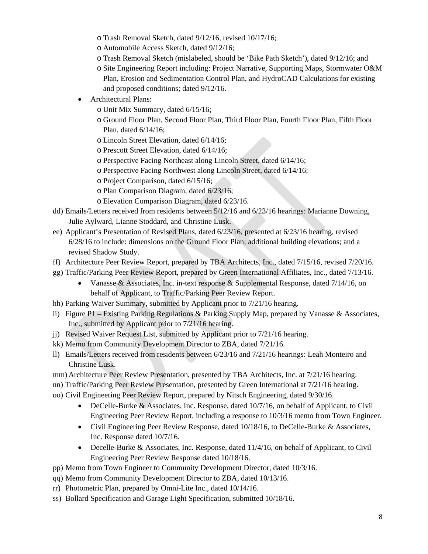- o Trash Removal Sketch, dated 9/12/16, revised 10/17/16;
- o Automobile Access Sketch, dated 9/12/16;
- o Trash Removal Sketch (mislabeled, should be 'Bike Path Sketch'), dated 9/12/16; and
- o Site Engineering Report including: Project Narrative, Supporting Maps, Stormwater O&M Plan, Erosion and Sedimentation Control Plan, and HydroCAD Calculations for existing and proposed conditions; dated 9/12/16.
- Architectural Plans:
	- o Unit Mix Summary, dated 6/15/16;
	- o Ground Floor Plan, Second Floor Plan, Third Floor Plan, Fourth Floor Plan, Fifth Floor Plan, dated 6/14/16;
	- o Lincoln Street Elevation, dated 6/14/16;
	- o Prescott Street Elevation, dated 6/14/16;
	- o Perspective Facing Northeast along Lincoln Street, dated 6/14/16;
	- o Perspective Facing Northwest along Lincoln Street, dated 6/14/16;
	- o Project Comparison, dated 6/15/16;
	- o Plan Comparison Diagram, dated 6/23/16;
	- o Elevation Comparison Diagram, dated 6/23/16.
- dd) Emails/Letters received from residents between 5/12/16 and 6/23/16 hearings: Marianne Downing, Julie Aylward, Lianne Stoddard, and Christine Lusk.
- ee) Applicant's Presentation of Revised Plans, dated 6/23/16, presented at 6/23/16 hearing, revised 6/28/16 to include: dimensions on the Ground Floor Plan; additional building elevations; and a revised Shadow Study.
- ff) Architecture Peer Review Report, prepared by TBA Architects, Inc., dated 7/15/16, revised 7/20/16.
- gg) Traffic/Parking Peer Review Report, prepared by Green International Affiliates, Inc., dated 7/13/16.
	- Vanasse & Associates, Inc. in-text response & Supplemental Response, dated  $7/14/16$ , on behalf of Applicant, to Traffic/Parking Peer Review Report.
- hh) Parking Waiver Summary, submitted by Applicant prior to 7/21/16 hearing.
- ii) Figure P1 Existing Parking Regulations & Parking Supply Map, prepared by Vanasse & Associates, Inc., submitted by Applicant prior to 7/21/16 hearing.
- jj) Revised Waiver Request List, submitted by Applicant prior to 7/21/16 hearing.
- kk) Memo from Community Development Director to ZBA, dated 7/21/16.
- ll) Emails/Letters received from residents between 6/23/16 and 7/21/16 hearings: Leah Monteiro and Christine Lusk.
- mm) Architecture Peer Review Presentation, presented by TBA Architects, Inc. at 7/21/16 hearing.
- nn) Traffic/Parking Peer Review Presentation, presented by Green International at 7/21/16 hearing.
- oo) Civil Engineering Peer Review Report, prepared by Nitsch Engineering, dated 9/30/16.
	- DeCelle-Burke & Associates, Inc. Response, dated 10/7/16, on behalf of Applicant, to Civil Engineering Peer Review Report, including a response to 10/3/16 memo from Town Engineer.
	- Civil Engineering Peer Review Response, dated 10/18/16, to DeCelle-Burke & Associates, Inc. Response dated 10/7/16.
	- Decelle-Burke & Associates, Inc. Response, dated 11/4/16, on behalf of Applicant, to Civil Engineering Peer Review Response dated 10/18/16.
- pp) Memo from Town Engineer to Community Development Director, dated 10/3/16.
- qq) Memo from Community Development Director to ZBA, dated 10/13/16.
- rr) Photometric Plan, prepared by Omni-Lite Inc., dated 10/14/16.
- ss) Bollard Specification and Garage Light Specification, submitted 10/18/16.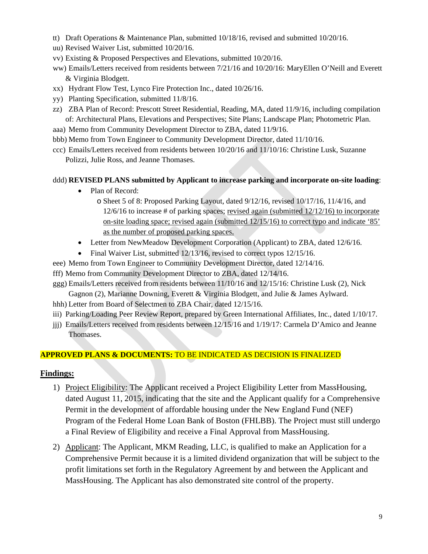- tt) Draft Operations & Maintenance Plan, submitted 10/18/16, revised and submitted 10/20/16.
- uu) Revised Waiver List, submitted 10/20/16.
- vv) Existing & Proposed Perspectives and Elevations, submitted 10/20/16.
- ww) Emails/Letters received from residents between 7/21/16 and 10/20/16: MaryEllen O'Neill and Everett & Virginia Blodgett.
- xx) Hydrant Flow Test, Lynco Fire Protection Inc., dated 10/26/16.
- yy) Planting Specification, submitted 11/8/16.
- zz) ZBA Plan of Record: Prescott Street Residential, Reading, MA, dated 11/9/16, including compilation of: Architectural Plans, Elevations and Perspectives; Site Plans; Landscape Plan; Photometric Plan.
- aaa) Memo from Community Development Director to ZBA, dated 11/9/16.
- bbb) Memo from Town Engineer to Community Development Director, dated 11/10/16.
- ccc) Emails/Letters received from residents between 10/20/16 and 11/10/16: Christine Lusk, Suzanne Polizzi, Julie Ross, and Jeanne Thomases.

#### ddd) **REVISED PLANS submitted by Applicant to increase parking and incorporate on-site loading**:

- Plan of Record:
	- o Sheet 5 of 8: Proposed Parking Layout, dated 9/12/16, revised 10/17/16, 11/4/16, and 12/6/16 to increase # of parking spaces; revised again (submitted 12/12/16) to incorporate on-site loading space; revised again (submitted 12/15/16) to correct typo and indicate '85' as the number of proposed parking spaces.
- Letter from NewMeadow Development Corporation (Applicant) to ZBA, dated 12/6/16.
- Final Waiver List, submitted 12/13/16, revised to correct typos 12/15/16.
- eee) Memo from Town Engineer to Community Development Director, dated 12/14/16.
- fff) Memo from Community Development Director to ZBA, dated 12/14/16.
- ggg) Emails/Letters received from residents between 11/10/16 and 12/15/16: Christine Lusk (2), Nick Gagnon (2), Marianne Downing, Everett & Virginia Blodgett, and Julie & James Aylward.
- hhh) Letter from Board of Selectmen to ZBA Chair, dated 12/15/16.
- iii) Parking/Loading Peer Review Report, prepared by Green International Affiliates, Inc., dated 1/10/17.
- jjj) Emails/Letters received from residents between 12/15/16 and 1/19/17: Carmela D'Amico and Jeanne Thomases.

#### **APPROVED PLANS & DOCUMENTS:** TO BE INDICATED AS DECISION IS FINALIZED

#### **Findings:**

- 1) Project Eligibility: The Applicant received a Project Eligibility Letter from MassHousing, dated August 11, 2015, indicating that the site and the Applicant qualify for a Comprehensive Permit in the development of affordable housing under the New England Fund (NEF) Program of the Federal Home Loan Bank of Boston (FHLBB). The Project must still undergo a Final Review of Eligibility and receive a Final Approval from MassHousing.
- 2) Applicant: The Applicant, MKM Reading, LLC, is qualified to make an Application for a Comprehensive Permit because it is a limited dividend organization that will be subject to the profit limitations set forth in the Regulatory Agreement by and between the Applicant and MassHousing. The Applicant has also demonstrated site control of the property.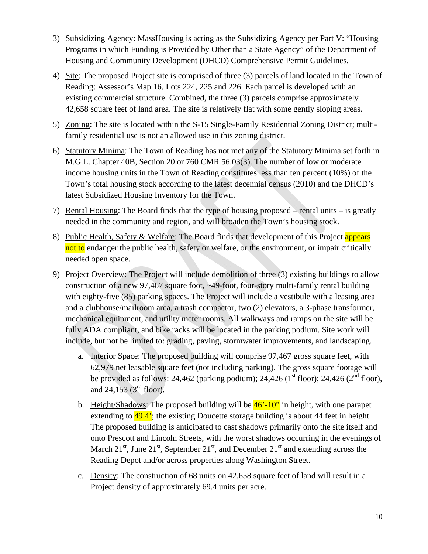- 3) Subsidizing Agency: MassHousing is acting as the Subsidizing Agency per Part V: "Housing Programs in which Funding is Provided by Other than a State Agency" of the Department of Housing and Community Development (DHCD) Comprehensive Permit Guidelines.
- 4) Site: The proposed Project site is comprised of three (3) parcels of land located in the Town of Reading: Assessor's Map 16, Lots 224, 225 and 226. Each parcel is developed with an existing commercial structure. Combined, the three (3) parcels comprise approximately 42,658 square feet of land area. The site is relatively flat with some gently sloping areas.
- 5) Zoning: The site is located within the S-15 Single-Family Residential Zoning District; multifamily residential use is not an allowed use in this zoning district.
- 6) Statutory Minima: The Town of Reading has not met any of the Statutory Minima set forth in M.G.L. Chapter 40B, Section 20 or 760 CMR 56.03(3). The number of low or moderate income housing units in the Town of Reading constitutes less than ten percent (10%) of the Town's total housing stock according to the latest decennial census (2010) and the DHCD's latest Subsidized Housing Inventory for the Town.
- 7) Rental Housing: The Board finds that the type of housing proposed rental units is greatly needed in the community and region, and will broaden the Town's housing stock.
- 8) Public Health, Safety & Welfare: The Board finds that development of this Project appears not to endanger the public health, safety or welfare, or the environment, or impair critically needed open space.
- 9) Project Overview: The Project will include demolition of three (3) existing buildings to allow construction of a new 97,467 square foot, ~49-foot, four-story multi-family rental building with eighty-five (85) parking spaces. The Project will include a vestibule with a leasing area and a clubhouse/mailroom area, a trash compactor, two (2) elevators, a 3-phase transformer, mechanical equipment, and utility meter rooms. All walkways and ramps on the site will be fully ADA compliant, and bike racks will be located in the parking podium. Site work will include, but not be limited to: grading, paving, stormwater improvements, and landscaping.
	- a. Interior Space: The proposed building will comprise 97,467 gross square feet, with 62,979 net leasable square feet (not including parking). The gross square footage will be provided as follows: 24,462 (parking podium); 24,426 ( $1<sup>st</sup>$  floor); 24,426 ( $2<sup>nd</sup>$  floor), and 24,153 (3rd floor).
	- b. Height/Shadows: The proposed building will be  $46'$ -10" in height, with one parapet extending to  $49.4$ ; the existing Doucette storage building is about 44 feet in height. The proposed building is anticipated to cast shadows primarily onto the site itself and onto Prescott and Lincoln Streets, with the worst shadows occurring in the evenings of March  $21<sup>st</sup>$ , June  $21<sup>st</sup>$ , September  $21<sup>st</sup>$ , and December  $21<sup>st</sup>$  and extending across the Reading Depot and/or across properties along Washington Street.
	- c. Density: The construction of 68 units on 42,658 square feet of land will result in a Project density of approximately 69.4 units per acre.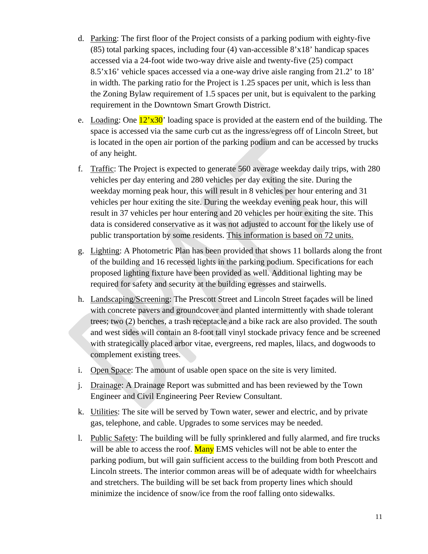- d. Parking: The first floor of the Project consists of a parking podium with eighty-five (85) total parking spaces, including four (4) van-accessible 8'x18' handicap spaces accessed via a 24-foot wide two-way drive aisle and twenty-five (25) compact 8.5'x16' vehicle spaces accessed via a one-way drive aisle ranging from 21.2' to 18' in width. The parking ratio for the Project is 1.25 spaces per unit, which is less than the Zoning Bylaw requirement of 1.5 spaces per unit, but is equivalent to the parking requirement in the Downtown Smart Growth District.
- e. Loading: One  $12'x30'$  loading space is provided at the eastern end of the building. The space is accessed via the same curb cut as the ingress/egress off of Lincoln Street, but is located in the open air portion of the parking podium and can be accessed by trucks of any height.
- f. Traffic: The Project is expected to generate 560 average weekday daily trips, with 280 vehicles per day entering and 280 vehicles per day exiting the site. During the weekday morning peak hour, this will result in 8 vehicles per hour entering and 31 vehicles per hour exiting the site. During the weekday evening peak hour, this will result in 37 vehicles per hour entering and 20 vehicles per hour exiting the site. This data is considered conservative as it was not adjusted to account for the likely use of public transportation by some residents. This information is based on 72 units.
- g. Lighting: A Photometric Plan has been provided that shows 11 bollards along the front of the building and 16 recessed lights in the parking podium. Specifications for each proposed lighting fixture have been provided as well. Additional lighting may be required for safety and security at the building egresses and stairwells.
- h. Landscaping/Screening: The Prescott Street and Lincoln Street façades will be lined with concrete pavers and groundcover and planted intermittently with shade tolerant trees; two (2) benches, a trash receptacle and a bike rack are also provided. The south and west sides will contain an 8-foot tall vinyl stockade privacy fence and be screened with strategically placed arbor vitae, evergreens, red maples, lilacs, and dogwoods to complement existing trees.
- i. Open Space: The amount of usable open space on the site is very limited.
- j. Drainage: A Drainage Report was submitted and has been reviewed by the Town Engineer and Civil Engineering Peer Review Consultant.
- k. Utilities: The site will be served by Town water, sewer and electric, and by private gas, telephone, and cable. Upgrades to some services may be needed.
- l. Public Safety: The building will be fully sprinklered and fully alarmed, and fire trucks will be able to access the roof. Many EMS vehicles will not be able to enter the parking podium, but will gain sufficient access to the building from both Prescott and Lincoln streets. The interior common areas will be of adequate width for wheelchairs and stretchers. The building will be set back from property lines which should minimize the incidence of snow/ice from the roof falling onto sidewalks.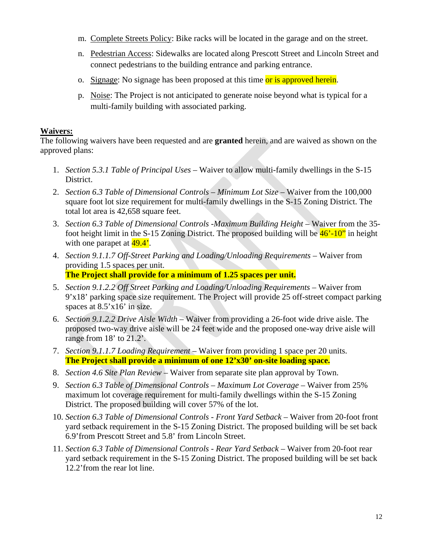- m. Complete Streets Policy: Bike racks will be located in the garage and on the street.
- n. Pedestrian Access: Sidewalks are located along Prescott Street and Lincoln Street and connect pedestrians to the building entrance and parking entrance.
- o. Signage: No signage has been proposed at this time or is approved herein.
- p. Noise: The Project is not anticipated to generate noise beyond what is typical for a multi-family building with associated parking.

# **Waivers:**

The following waivers have been requested and are **granted** herein, and are waived as shown on the approved plans:

- 1. *Section 5.3.1 Table of Principal Uses* Waiver to allow multi-family dwellings in the S-15 District.
- 2. *Section 6.3 Table of Dimensional Controls Minimum Lot Size* Waiver from the 100,000 square foot lot size requirement for multi-family dwellings in the S-15 Zoning District. The total lot area is 42,658 square feet.
- 3. *Section 6.3 Table of Dimensional Controls -Maximum Building Height* Waiver from the 35 foot height limit in the S-15 Zoning District. The proposed building will be  $46^{\degree}$ -10" in height with one parapet at  $49.4'$ .
- 4. *Section 9.1.1.7 Off-Street Parking and Loading/Unloading Requirements* Waiver from providing 1.5 spaces per unit. **The Project shall provide for a minimum of 1.25 spaces per unit.**
- 5. *Section 9.1.2.2 Off Street Parking and Loading/Unloading Requirements* Waiver from 9'x18' parking space size requirement. The Project will provide 25 off-street compact parking spaces at 8.5'x16' in size.
- 6. *Section 9.1.2.2 Drive Aisle Width* Waiver from providing a 26-foot wide drive aisle. The proposed two-way drive aisle will be 24 feet wide and the proposed one-way drive aisle will range from 18' to 21.2'.
- 7. *Section 9.1.1.7 Loading Requirement* Waiver from providing 1 space per 20 units. **The Project shall provide a minimum of one 12'x30' on-site loading space.**
- 8. *Section 4.6 Site Plan Review* Waiver from separate site plan approval by Town.
- 9. *Section 6.3 Table of Dimensional Controls Maximum Lot Coverage* Waiver from 25% maximum lot coverage requirement for multi-family dwellings within the S-15 Zoning District. The proposed building will cover 57% of the lot.
- 10. *Section 6.3 Table of Dimensional Controls Front Yard Setback* Waiver from 20-foot front yard setback requirement in the S-15 Zoning District. The proposed building will be set back 6.9'from Prescott Street and 5.8' from Lincoln Street.
- 11. *Section 6.3 Table of Dimensional Controls Rear Yard Setback* Waiver from 20-foot rear yard setback requirement in the S-15 Zoning District. The proposed building will be set back 12.2'from the rear lot line.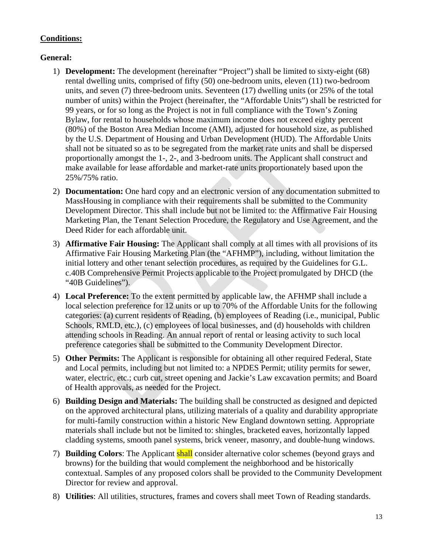# **Conditions:**

# **General:**

- 1) **Development:** The development (hereinafter "Project") shall be limited to sixty-eight (68) rental dwelling units, comprised of fifty (50) one-bedroom units, eleven (11) two-bedroom units, and seven (7) three-bedroom units. Seventeen (17) dwelling units (or 25% of the total number of units) within the Project (hereinafter, the "Affordable Units") shall be restricted for 99 years, or for so long as the Project is not in full compliance with the Town's Zoning Bylaw, for rental to households whose maximum income does not exceed eighty percent (80%) of the Boston Area Median Income (AMI), adjusted for household size, as published by the U.S. Department of Housing and Urban Development (HUD). The Affordable Units shall not be situated so as to be segregated from the market rate units and shall be dispersed proportionally amongst the 1-, 2-, and 3-bedroom units. The Applicant shall construct and make available for lease affordable and market-rate units proportionately based upon the 25%/75% ratio.
- 2) **Documentation:** One hard copy and an electronic version of any documentation submitted to MassHousing in compliance with their requirements shall be submitted to the Community Development Director. This shall include but not be limited to: the Affirmative Fair Housing Marketing Plan, the Tenant Selection Procedure, the Regulatory and Use Agreement, and the Deed Rider for each affordable unit.
- 3) **Affirmative Fair Housing:** The Applicant shall comply at all times with all provisions of its Affirmative Fair Housing Marketing Plan (the "AFHMP"), including, without limitation the initial lottery and other tenant selection procedures, as required by the Guidelines for G.L. c.40B Comprehensive Permit Projects applicable to the Project promulgated by DHCD (the "40B Guidelines").
- 4) **Local Preference:** To the extent permitted by applicable law, the AFHMP shall include a local selection preference for 12 units or up to 70% of the Affordable Units for the following categories: (a) current residents of Reading, (b) employees of Reading (i.e., municipal, Public Schools, RMLD, etc.), (c) employees of local businesses, and (d) households with children attending schools in Reading. An annual report of rental or leasing activity to such local preference categories shall be submitted to the Community Development Director.
- 5) **Other Permits:** The Applicant is responsible for obtaining all other required Federal, State and Local permits, including but not limited to: a NPDES Permit; utility permits for sewer, water, electric, etc.; curb cut, street opening and Jackie's Law excavation permits; and Board of Health approvals, as needed for the Project.
- 6) **Building Design and Materials:** The building shall be constructed as designed and depicted on the approved architectural plans, utilizing materials of a quality and durability appropriate for multi-family construction within a historic New England downtown setting. Appropriate materials shall include but not be limited to: shingles, bracketed eaves, horizontally lapped cladding systems, smooth panel systems, brick veneer, masonry, and double-hung windows.
- 7) **Building Colors**: The Applicant shall consider alternative color schemes (beyond grays and browns) for the building that would complement the neighborhood and be historically contextual. Samples of any proposed colors shall be provided to the Community Development Director for review and approval.
- 8) **Utilities**: All utilities, structures, frames and covers shall meet Town of Reading standards.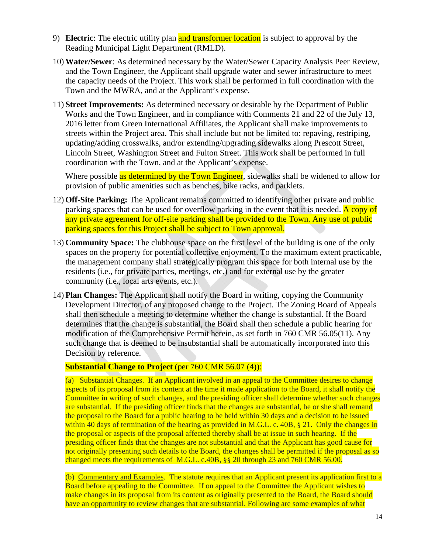- 9) **Electric**: The electric utility plan and transformer location is subject to approval by the Reading Municipal Light Department (RMLD).
- 10) **Water/Sewer**: As determined necessary by the Water/Sewer Capacity Analysis Peer Review, and the Town Engineer, the Applicant shall upgrade water and sewer infrastructure to meet the capacity needs of the Project. This work shall be performed in full coordination with the Town and the MWRA, and at the Applicant's expense.
- 11) **Street Improvements:** As determined necessary or desirable by the Department of Public Works and the Town Engineer, and in compliance with Comments 21 and 22 of the July 13, 2016 letter from Green International Affiliates, the Applicant shall make improvements to streets within the Project area. This shall include but not be limited to: repaving, restriping, updating/adding crosswalks, and/or extending/upgrading sidewalks along Prescott Street, Lincoln Street, Washington Street and Fulton Street. This work shall be performed in full coordination with the Town, and at the Applicant's expense.

Where possible as determined by the Town Engineer, sidewalks shall be widened to allow for provision of public amenities such as benches, bike racks, and parklets.

- 12) **Off-Site Parking:** The Applicant remains committed to identifying other private and public parking spaces that can be used for overflow parking in the event that it is needed. A copy of any private agreement for off-site parking shall be provided to the Town. Any use of public parking spaces for this Project shall be subject to Town approval.
- 13) **Community Space:** The clubhouse space on the first level of the building is one of the only spaces on the property for potential collective enjoyment. To the maximum extent practicable, the management company shall strategically program this space for both internal use by the residents (i.e., for private parties, meetings, etc.) and for external use by the greater community (i.e., local arts events, etc.).
- 14) **Plan Changes:** The Applicant shall notify the Board in writing, copying the Community Development Director, of any proposed change to the Project. The Zoning Board of Appeals shall then schedule a meeting to determine whether the change is substantial. If the Board determines that the change is substantial, the Board shall then schedule a public hearing for modification of the Comprehensive Permit herein, as set forth in 760 CMR 56.05(11). Any such change that is deemed to be insubstantial shall be automatically incorporated into this Decision by reference.

# **Substantial Change to Project** (per 760 CMR 56.07 (4)):

(a) Substantial Changes. If an Applicant involved in an appeal to the Committee desires to change aspects of its proposal from its content at the time it made application to the Board, it shall notify the Committee in writing of such changes, and the presiding officer shall determine whether such changes are substantial. If the presiding officer finds that the changes are substantial, he or she shall remand the proposal to the Board for a public hearing to be held within 30 days and a decision to be issued within 40 days of termination of the hearing as provided in M.G.L. c. 40B, § 21. Only the changes in the proposal or aspects of the proposal affected thereby shall be at issue in such hearing. If the presiding officer finds that the changes are not substantial and that the Applicant has good cause for not originally presenting such details to the Board, the changes shall be permitted if the proposal as so changed meets the requirements of M.G.L. c.40B, §§ 20 through 23 and 760 CMR 56.00.

(b) Commentary and Examples. The statute requires that an Applicant present its application first to a Board before appealing to the Committee. If on appeal to the Committee the Applicant wishes to make changes in its proposal from its content as originally presented to the Board, the Board should have an opportunity to review changes that are substantial. Following are some examples of what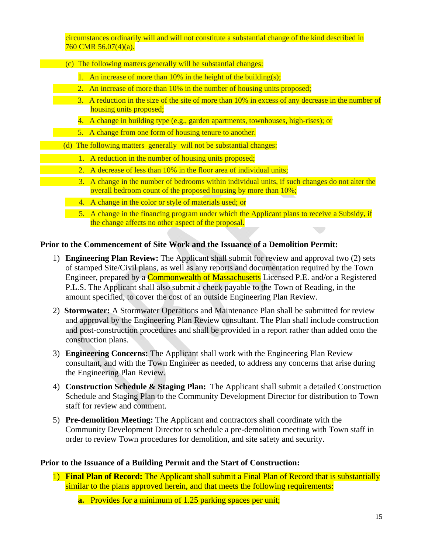circumstances ordinarily will and will not constitute a substantial change of the kind described in 760 CMR 56.07(4)(a).

- (c) The following matters generally will be substantial changes:
	- 1. An increase of more than  $10\%$  in the height of the building(s);
	- 2. An increase of more than 10% in the number of housing units proposed;
	- 3. A reduction in the size of the site of more than 10% in excess of any decrease in the number of housing units proposed;
		- 4. A change in building type (e.g., garden apartments, townhouses, high-rises); or
	- 5. A change from one form of housing tenure to another.
	- (d) The following matters generally will not be substantial changes:
		- 1. A reduction in the number of housing units proposed;
		- 2. A decrease of less than 10% in the floor area of individual units;
	- 3. A change in the number of bedrooms within individual units, if such changes do not alter the overall bedroom count of the proposed housing by more than 10%;
		- 4. A change in the color or style of materials used; or
		- 5. A change in the financing program under which the Applicant plans to receive a Subsidy, if the change affects no other aspect of the proposal.

#### **Prior to the Commencement of Site Work and the Issuance of a Demolition Permit:**

- 1) **Engineering Plan Review:** The Applicant shall submit for review and approval two (2) sets of stamped Site/Civil plans, as well as any reports and documentation required by the Town Engineer, prepared by a **Commonwealth of Massachusetts** Licensed P.E. and/or a Registered P.L.S. The Applicant shall also submit a check payable to the Town of Reading, in the amount specified, to cover the cost of an outside Engineering Plan Review.
- 2) **Stormwater:** A Stormwater Operations and Maintenance Plan shall be submitted for review and approval by the Engineering Plan Review consultant. The Plan shall include construction and post-construction procedures and shall be provided in a report rather than added onto the construction plans.
- 3) **Engineering Concerns:** The Applicant shall work with the Engineering Plan Review consultant, and with the Town Engineer as needed, to address any concerns that arise during the Engineering Plan Review.
- 4) **Construction Schedule & Staging Plan:** The Applicant shall submit a detailed Construction Schedule and Staging Plan to the Community Development Director for distribution to Town staff for review and comment.
- 5) **Pre-demolition Meeting:** The Applicant and contractors shall coordinate with the Community Development Director to schedule a pre-demolition meeting with Town staff in order to review Town procedures for demolition, and site safety and security.

#### **Prior to the Issuance of a Building Permit and the Start of Construction:**

- 1) **Final Plan of Record:** The Applicant shall submit a Final Plan of Record that is substantially similar to the plans approved herein, and that meets the following requirements:
	- **a.** Provides for a minimum of 1.25 parking spaces per unit;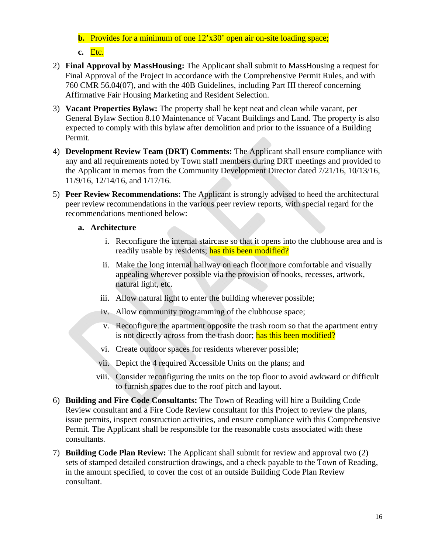**b.** Provides for a minimum of one 12'x30' open air on-site loading space; **c.** Etc.

- 
- 2) **Final Approval by MassHousing:** The Applicant shall submit to MassHousing a request for Final Approval of the Project in accordance with the Comprehensive Permit Rules, and with 760 CMR 56.04(07), and with the 40B Guidelines, including Part III thereof concerning Affirmative Fair Housing Marketing and Resident Selection.
- 3) **Vacant Properties Bylaw:** The property shall be kept neat and clean while vacant, per General Bylaw Section 8.10 Maintenance of Vacant Buildings and Land. The property is also expected to comply with this bylaw after demolition and prior to the issuance of a Building Permit.
- 4) **Development Review Team (DRT) Comments:** The Applicant shall ensure compliance with any and all requirements noted by Town staff members during DRT meetings and provided to the Applicant in memos from the Community Development Director dated 7/21/16, 10/13/16, 11/9/16, 12/14/16, and 1/17/16.
- 5) **Peer Review Recommendations:** The Applicant is strongly advised to heed the architectural peer review recommendations in the various peer review reports, with special regard for the recommendations mentioned below:

# **a. Architecture**

- i. Reconfigure the internal staircase so that it opens into the clubhouse area and is readily usable by residents; has this been modified?
- ii. Make the long internal hallway on each floor more comfortable and visually appealing wherever possible via the provision of nooks, recesses, artwork, natural light, etc.
- iii. Allow natural light to enter the building wherever possible;
- iv. Allow community programming of the clubhouse space;
- v. Reconfigure the apartment opposite the trash room so that the apartment entry is not directly across from the trash door; has this been modified?
- vi. Create outdoor spaces for residents wherever possible;
- vii. Depict the 4 required Accessible Units on the plans; and
- viii. Consider reconfiguring the units on the top floor to avoid awkward or difficult to furnish spaces due to the roof pitch and layout.
- 6) **Building and Fire Code Consultants:** The Town of Reading will hire a Building Code Review consultant and a Fire Code Review consultant for this Project to review the plans, issue permits, inspect construction activities, and ensure compliance with this Comprehensive Permit. The Applicant shall be responsible for the reasonable costs associated with these consultants.
- 7) **Building Code Plan Review:** The Applicant shall submit for review and approval two (2) sets of stamped detailed construction drawings, and a check payable to the Town of Reading, in the amount specified, to cover the cost of an outside Building Code Plan Review consultant.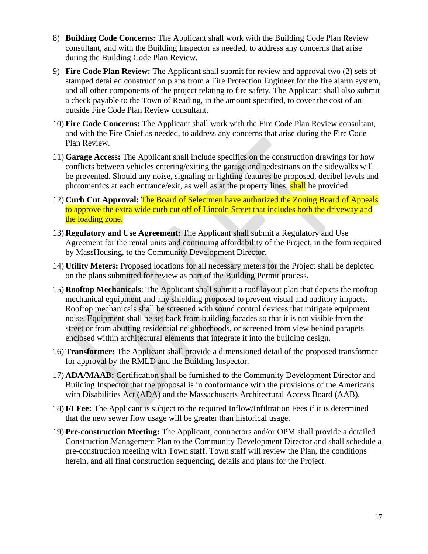- 8) **Building Code Concerns:** The Applicant shall work with the Building Code Plan Review consultant, and with the Building Inspector as needed, to address any concerns that arise during the Building Code Plan Review.
- 9) **Fire Code Plan Review:** The Applicant shall submit for review and approval two (2) sets of stamped detailed construction plans from a Fire Protection Engineer for the fire alarm system, and all other components of the project relating to fire safety. The Applicant shall also submit a check payable to the Town of Reading, in the amount specified, to cover the cost of an outside Fire Code Plan Review consultant.
- 10) **Fire Code Concerns:** The Applicant shall work with the Fire Code Plan Review consultant, and with the Fire Chief as needed, to address any concerns that arise during the Fire Code Plan Review.
- 11) **Garage Access:** The Applicant shall include specifics on the construction drawings for how conflicts between vehicles entering/exiting the garage and pedestrians on the sidewalks will be prevented. Should any noise, signaling or lighting features be proposed, decibel levels and photometrics at each entrance/exit, as well as at the property lines, shall be provided.
- 12) **Curb Cut Approval:** The Board of Selectmen have authorized the Zoning Board of Appeals to approve the extra wide curb cut off of Lincoln Street that includes both the driveway and the loading zone.
- 13) **Regulatory and Use Agreement:** The Applicant shall submit a Regulatory and Use Agreement for the rental units and continuing affordability of the Project, in the form required by MassHousing, to the Community Development Director.
- 14) **Utility Meters:** Proposed locations for all necessary meters for the Project shall be depicted on the plans submitted for review as part of the Building Permit process.
- 15) **Rooftop Mechanicals**: The Applicant shall submit a roof layout plan that depicts the rooftop mechanical equipment and any shielding proposed to prevent visual and auditory impacts. Rooftop mechanicals shall be screened with sound control devices that mitigate equipment noise. Equipment shall be set back from building facades so that it is not visible from the street or from abutting residential neighborhoods, or screened from view behind parapets enclosed within architectural elements that integrate it into the building design.
- 16) **Transformer:** The Applicant shall provide a dimensioned detail of the proposed transformer for approval by the RMLD and the Building Inspector.
- 17) **ADA/MAAB:** Certification shall be furnished to the Community Development Director and Building Inspector that the proposal is in conformance with the provisions of the Americans with Disabilities Act (ADA) and the Massachusetts Architectural Access Board (AAB).
- 18)**I/I Fee:** The Applicant is subject to the required Inflow/Infiltration Fees if it is determined that the new sewer flow usage will be greater than historical usage.
- 19) **Pre-construction Meeting:** The Applicant, contractors and/or OPM shall provide a detailed Construction Management Plan to the Community Development Director and shall schedule a pre-construction meeting with Town staff. Town staff will review the Plan, the conditions herein, and all final construction sequencing, details and plans for the Project.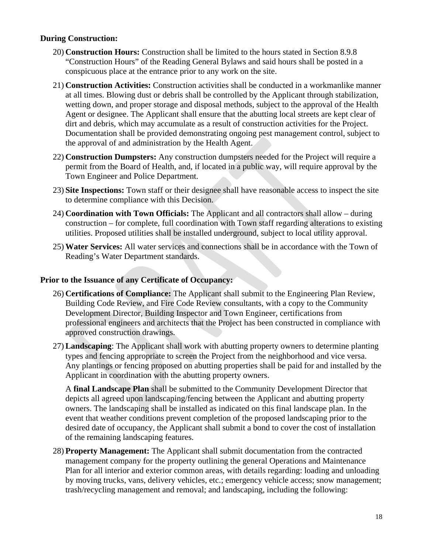# **During Construction:**

- 20) **Construction Hours:** Construction shall be limited to the hours stated in Section 8.9.8 "Construction Hours" of the Reading General Bylaws and said hours shall be posted in a conspicuous place at the entrance prior to any work on the site.
- 21) **Construction Activities:** Construction activities shall be conducted in a workmanlike manner at all times. Blowing dust or debris shall be controlled by the Applicant through stabilization, wetting down, and proper storage and disposal methods, subject to the approval of the Health Agent or designee. The Applicant shall ensure that the abutting local streets are kept clear of dirt and debris, which may accumulate as a result of construction activities for the Project. Documentation shall be provided demonstrating ongoing pest management control, subject to the approval of and administration by the Health Agent.
- 22) **Construction Dumpsters:** Any construction dumpsters needed for the Project will require a permit from the Board of Health, and, if located in a public way, will require approval by the Town Engineer and Police Department.
- 23) **Site Inspections:** Town staff or their designee shall have reasonable access to inspect the site to determine compliance with this Decision.
- 24) **Coordination with Town Officials:** The Applicant and all contractors shall allow during construction – for complete, full coordination with Town staff regarding alterations to existing utilities. Proposed utilities shall be installed underground, subject to local utility approval.
- 25) **Water Services:** All water services and connections shall be in accordance with the Town of Reading's Water Department standards.

#### **Prior to the Issuance of any Certificate of Occupancy:**

- 26) **Certifications of Compliance:** The Applicant shall submit to the Engineering Plan Review, Building Code Review, and Fire Code Review consultants, with a copy to the Community Development Director, Building Inspector and Town Engineer, certifications from professional engineers and architects that the Project has been constructed in compliance with approved construction drawings.
- 27) **Landscaping**: The Applicant shall work with abutting property owners to determine planting types and fencing appropriate to screen the Project from the neighborhood and vice versa. Any plantings or fencing proposed on abutting properties shall be paid for and installed by the Applicant in coordination with the abutting property owners.

A **final Landscape Plan** shall be submitted to the Community Development Director that depicts all agreed upon landscaping/fencing between the Applicant and abutting property owners. The landscaping shall be installed as indicated on this final landscape plan. In the event that weather conditions prevent completion of the proposed landscaping prior to the desired date of occupancy, the Applicant shall submit a bond to cover the cost of installation of the remaining landscaping features.

28) **Property Management:** The Applicant shall submit documentation from the contracted management company for the property outlining the general Operations and Maintenance Plan for all interior and exterior common areas, with details regarding: loading and unloading by moving trucks, vans, delivery vehicles, etc.; emergency vehicle access; snow management; trash/recycling management and removal; and landscaping, including the following: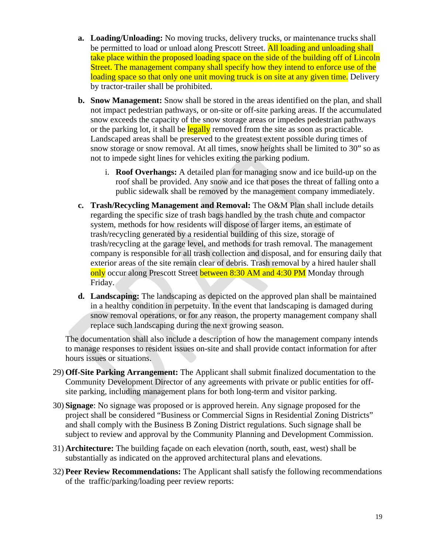- **a. Loading/Unloading:** No moving trucks, delivery trucks, or maintenance trucks shall be permitted to load or unload along Prescott Street. All loading and unloading shall take place within the proposed loading space on the side of the building off of Lincoln Street. The management company shall specify how they intend to enforce use of the loading space so that only one unit moving truck is on site at any given time. Delivery by tractor-trailer shall be prohibited.
- **b. Snow Management:** Snow shall be stored in the areas identified on the plan, and shall not impact pedestrian pathways, or on-site or off-site parking areas. If the accumulated snow exceeds the capacity of the snow storage areas or impedes pedestrian pathways or the parking lot, it shall be legally removed from the site as soon as practicable. Landscaped areas shall be preserved to the greatest extent possible during times of snow storage or snow removal. At all times, snow heights shall be limited to 30" so as not to impede sight lines for vehicles exiting the parking podium.
	- i. **Roof Overhangs:** A detailed plan for managing snow and ice build-up on the roof shall be provided. Any snow and ice that poses the threat of falling onto a public sidewalk shall be removed by the management company immediately.
- **c. Trash/Recycling Management and Removal:** The O&M Plan shall include details regarding the specific size of trash bags handled by the trash chute and compactor system, methods for how residents will dispose of larger items, an estimate of trash/recycling generated by a residential building of this size, storage of trash/recycling at the garage level, and methods for trash removal. The management company is responsible for all trash collection and disposal, and for ensuring daily that exterior areas of the site remain clear of debris. Trash removal by a hired hauler shall only occur along Prescott Street between 8:30 AM and 4:30 PM Monday through Friday.
- **d. Landscaping:** The landscaping as depicted on the approved plan shall be maintained in a healthy condition in perpetuity. In the event that landscaping is damaged during snow removal operations, or for any reason, the property management company shall replace such landscaping during the next growing season.

The documentation shall also include a description of how the management company intends to manage responses to resident issues on-site and shall provide contact information for after hours issues or situations.

- 29) **Off-Site Parking Arrangement:** The Applicant shall submit finalized documentation to the Community Development Director of any agreements with private or public entities for offsite parking, including management plans for both long-term and visitor parking.
- 30) **Signage**: No signage was proposed or is approved herein. Any signage proposed for the project shall be considered "Business or Commercial Signs in Residential Zoning Districts" and shall comply with the Business B Zoning District regulations. Such signage shall be subject to review and approval by the Community Planning and Development Commission.
- 31) **Architecture:** The building façade on each elevation (north, south, east, west) shall be substantially as indicated on the approved architectural plans and elevations.
- 32) **Peer Review Recommendations:** The Applicant shall satisfy the following recommendations of the traffic/parking/loading peer review reports: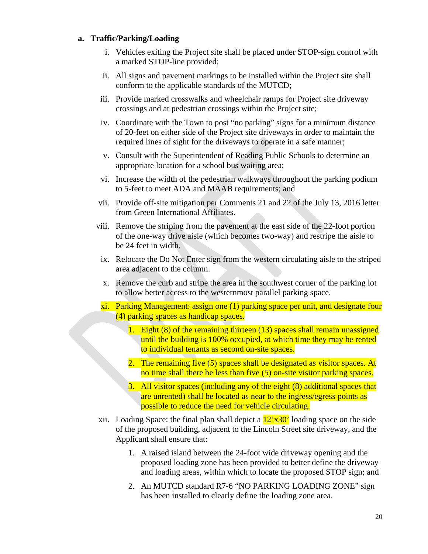#### **a. Traffic/Parking/Loading**

- i. Vehicles exiting the Project site shall be placed under STOP-sign control with a marked STOP-line provided;
- ii. All signs and pavement markings to be installed within the Project site shall conform to the applicable standards of the MUTCD;
- iii. Provide marked crosswalks and wheelchair ramps for Project site driveway crossings and at pedestrian crossings within the Project site;
- iv. Coordinate with the Town to post "no parking" signs for a minimum distance of 20-feet on either side of the Project site driveways in order to maintain the required lines of sight for the driveways to operate in a safe manner;
- v. Consult with the Superintendent of Reading Public Schools to determine an appropriate location for a school bus waiting area;
- vi. Increase the width of the pedestrian walkways throughout the parking podium to 5-feet to meet ADA and MAAB requirements; and
- vii. Provide off-site mitigation per Comments 21 and 22 of the July 13, 2016 letter from Green International Affiliates.
- viii. Remove the striping from the pavement at the east side of the 22-foot portion of the one-way drive aisle (which becomes two-way) and restripe the aisle to be 24 feet in width.
- ix. Relocate the Do Not Enter sign from the western circulating aisle to the striped area adjacent to the column.
- x. Remove the curb and stripe the area in the southwest corner of the parking lot to allow better access to the westernmost parallel parking space.
- xi. Parking Management: assign one (1) parking space per unit, and designate four (4) parking spaces as handicap spaces.
	- 1. Eight (8) of the remaining thirteen (13) spaces shall remain unassigned until the building is 100% occupied, at which time they may be rented to individual tenants as second on-site spaces.
	- 2. The remaining five (5) spaces shall be designated as visitor spaces. At no time shall there be less than five (5) on-site visitor parking spaces.
	- 3. All visitor spaces (including any of the eight (8) additional spaces that are unrented) shall be located as near to the ingress/egress points as possible to reduce the need for vehicle circulating.
- xii. Loading Space: the final plan shall depict a  $12'x30'$  loading space on the side of the proposed building, adjacent to the Lincoln Street site driveway, and the Applicant shall ensure that:
	- 1. A raised island between the 24-foot wide driveway opening and the proposed loading zone has been provided to better define the driveway and loading areas, within which to locate the proposed STOP sign; and
	- 2. An MUTCD standard R7-6 "NO PARKING LOADING ZONE" sign has been installed to clearly define the loading zone area.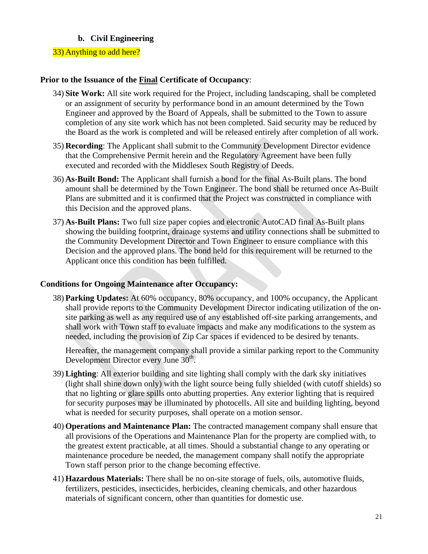# **b. Civil Engineering**

# 33) Anything to add here?

#### **Prior to the Issuance of the Final Certificate of Occupancy**:

- 34) **Site Work:** All site work required for the Project, including landscaping, shall be completed or an assignment of security by performance bond in an amount determined by the Town Engineer and approved by the Board of Appeals, shall be submitted to the Town to assure completion of any site work which has not been completed. Said security may be reduced by the Board as the work is completed and will be released entirely after completion of all work.
- 35) **Recording**: The Applicant shall submit to the Community Development Director evidence that the Comprehensive Permit herein and the Regulatory Agreement have been fully executed and recorded with the Middlesex South Registry of Deeds.
- 36) **As-Built Bond:** The Applicant shall furnish a bond for the final As-Built plans. The bond amount shall be determined by the Town Engineer. The bond shall be returned once As-Built Plans are submitted and it is confirmed that the Project was constructed in compliance with this Decision and the approved plans.
- 37) **As-Built Plans:** Two full size paper copies and electronic AutoCAD final As-Built plans showing the building footprint, drainage systems and utility connections shall be submitted to the Community Development Director and Town Engineer to ensure compliance with this Decision and the approved plans. The bond held for this requirement will be returned to the Applicant once this condition has been fulfilled.

#### **Conditions for Ongoing Maintenance after Occupancy:**

38) **Parking Updates:** At 60% occupancy, 80% occupancy, and 100% occupancy, the Applicant shall provide reports to the Community Development Director indicating utilization of the onsite parking as well as any required use of any established off-site parking arrangements, and shall work with Town staff to evaluate impacts and make any modifications to the system as needed, including the provision of Zip Car spaces if evidenced to be desired by tenants.

Hereafter, the management company shall provide a similar parking report to the Community Development Director every June 30<sup>th</sup>.

- 39) **Lighting**: All exterior building and site lighting shall comply with the dark sky initiatives (light shall shine down only) with the light source being fully shielded (with cutoff shields) so that no lighting or glare spills onto abutting properties. Any exterior lighting that is required for security purposes may be illuminated by photocells. All site and building lighting, beyond what is needed for security purposes, shall operate on a motion sensor.
- 40) **Operations and Maintenance Plan:** The contracted management company shall ensure that all provisions of the Operations and Maintenance Plan for the property are complied with, to the greatest extent practicable, at all times. Should a substantial change to any operating or maintenance procedure be needed, the management company shall notify the appropriate Town staff person prior to the change becoming effective.
- 41) **Hazardous Materials:** There shall be no on-site storage of fuels, oils, automotive fluids, fertilizers, pesticides, insecticides, herbicides, cleaning chemicals, and other hazardous materials of significant concern, other than quantities for domestic use.